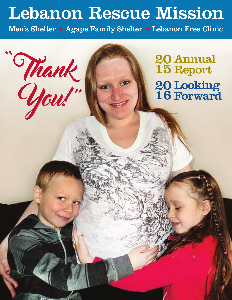## Lebanon Rescue Mission

Men's Shelter • Agape Family Shelter • Lebanon Free Clinic

"Thank

#### Annual Report 20 15 **Looking** Forward 20 16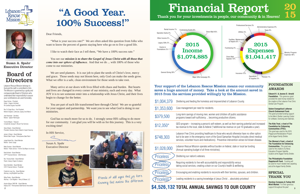## "A Good Year. 100% Success!"





Susan A. Spahr Executive Director 15

### Your support of the Lebanon Rescue Mission means our community saves a huge amount of money. Take a look at the amount saved in 2015 from the services provided willingly by the Mission.



erished of Lebanon County

children off public assistance roductive citizens.

m, as well as their earning potential and increased nal tax revenue on just 10 graduates a year).

se who would otherwise have no other option od Samaritan Hospital (includes direct medical eventive intervention verses full blown disease.

en on federal, state or local tax funding

nd responsibility versus ounty's health & wellbeing.

with their families, spouses, and children.

Leading Schrist ... absolutely priceless!

#### FOUNDATION AWARDS

## Board of **Directors**

Roger Grimes - President Owner - Organic Unlimited PA Certified Organic Feed Mill **Edward H. & Jeanne D. Arnold Foundation.** This generous grant provided the seed money needed for the creation of the Lebanon Free Clinic Dental Care Program.

Steve Allwein - Board Member President, Business Owner Allwein's Carnet Cleaning

#### **Salem Evangelical Lutheran Church Endowment Fund.**

This grant provided funding support to the Men's Shelter Learning Center for software, licensing and materials.

Betty Eiceman - Board Member Retired - Public Service - Former City Mayor (first female)

#### **The Kids Trust, a fund of The Foundation for Enhancing Communities (TFEC).**

Frederick Long, Esq. - Board Member Attorney, Long Brightbill Law Office

This grant was used for the 2015 Playground Revitalization Project at the Agape Family Shelter.

#### **The Women's Fund, a fund of The Foundation for Enhancing Communities.** This grant was used for the creation of a Nova Education Program Satellite

**2** Aisylnn Moyer, DNP, RN - Board Member Deputy CEO - Pennsylvania State Nurses Association location at the Agape Family Shelter.



#### **The Philadelphia Foundation Dapplecroft Fund.** Funding will be used for much needed new carpeting and at the Agape Family Shelter.

### SPECIAL THANK YOU

**Hershey Company & Turkey Hill Minit Market**. For their generous support throughout the year!

We are seed planters. It is our job to plant the seeds of Christ's love, mercy and grace. Those seeds may not bloom here, only God can make the seeds grow. What we offer is a safe, clean environment for those seeds to take root.

Rev. Dr. Roger Bucy - Vice President Retired Chaplain, Luthercare, Spang Crest Manor

Jean Hassinger - Secretary Retired - Speech Pathologist

Many arrive at our doors with lives filled with chaos and burden. But hearts and lives are changed in every corner of our ministry, each and every day. What JOY it is to see someone enter into a relationship with Jesus Christ, and their lives begin to change for the better.

Yvonne Meyers - Treasurer Comptroller, George H. Blouch Fuel Services

James A. Biever - Board Member Retired State Trooper - Pennsylvania State Patrol

Judge Robert Eby - Board Member Retired - Senior Judge

Brett Holland - Board Member CFP® Financial Advisor - Stifel Nicolaus

Rev. Thomas Keller - Board Member Pastor, Calvary Chapel of Lebanon

Kevin Kleinfelter - Board Member ChFC Financial Advisor, Prudential

Wiley Parker - Board Member Attorney – Civil litigation - Henry & Beaver, LLC

| \$1,004,379      | Sheltering and feeding the homeless and impove                                                                                                         |
|------------------|--------------------------------------------------------------------------------------------------------------------------------------------------------|
| \$1,353,600      | Case management per need for residents.                                                                                                                |
| \$379,500        | Long-term savings of moving men, women and o<br>programs toward self-sufficiency  becoming pr                                                          |
| $$12,350*$       | GED program – increasing a person's self-esteer<br>tax revenue to the local, state & federal (*addition                                                |
| \$748,303        | Lebanon Free Clinic providing healthcare to thos<br>but to be seen in the emergency room of the Goo<br>services, volunteer hours and medications). Pre |
| \$1,028,000      | Lebanon Rescue Mission operates without burde<br>(Annual operating budget of all three ministries).                                                    |
| <b>Priceless</b> | Sheltering our nation's veterans.                                                                                                                      |
| <b>Priceless</b> | Requiring residents to live with accountability an<br>taking social services, creating a drain on our Co                                               |
| Priceless        | Encouraging and enabling residents to reconcile                                                                                                        |
| Priceless        | Leading residents to a saving knowledge of Jesu                                                                                                        |

Lebanon Rescue Mission belongs to God and the staff is committed to Him. The Mission is governed by a godly and compassionate Board of Directors who understand their responsibility to assure your contributions are used honorably.

#### Dear Friends,

 "What is your success rate?" We are often asked this question from folks who want to know the percent of guests staying here who go on to live a good life.

I like to watch their face as I tell them, "We have a 100% success rate."

 You see our *mission is to share the Gospel of Jesus Christ with all those that come into our sphere of influence.* And that we do ... with 100% of those who come to our ministries.

 You are part of each life transformed here through Christ! We are so grateful for your support and partnership. We want you to see what God is doing in our ministries.

 God has so much more for us to do. I strongly sense HIS calling to do more for our community. I am glad you will be with us for this journey. This is a very exciting time!

#### In HIS Service,

Susan A. Spahr Executive Director





## **TOTAL ANNUAL SAVINGS TO OUR COUNTY \$4,526,132**

Friends of all ages find joy here. Knowing God makes the difference.

## Financial Report Thank you for your investments in people, our community & in Heaven!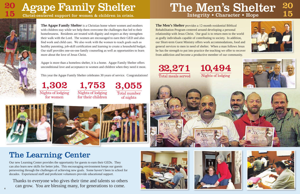**4**





**The Agape Family Shelter** is a Christian home where women and mothers with children stay while we help them overcome the challenges that led to their homelessness. Residents are treated with dignity and respect as they strengthen their walk with the Lord. The women are encouraged to earn their GED and also find work and child care. We also work with the women to reach goals such as healthy parenting, job-skill certification and learning to create a household budget. Our staff provides one-on-one family counseling as well as opportunities to learn more about the love of Jesus Christ.

## 20 **Agape Family Shelter**

Agape is more than a homeless shelter, it is a home. Agape Family Shelter offers unconditional love and acceptance to women and children when they need it most.

This year the Agape Family Shelter celebrates 30 years of service. Congratulations!

1,302 Nights of lodging for women

Our new Learning Center provides the opportunity for guests to earn their GEDs. They can also learn new skills for better jobs. This encouraging environment keeps our guests persevering through the challenges of achieving new goals. Some haven't been in school for decades. Experienced staff and proficient volunteers provide educational support.

1,753 Nights of lodging for their children 3,055 Total number of nights



Christ-centered support for women & children in crisis.

# The Men's Shelter <sup>20</sup> <sup>15</sup>



Total meals served

10,494 Nights of lodging



**The Men's Shelter** provides a 12-month residential Biblical Rehabilitation Program centered around developing a personal relationship with Jesus Christ. Our goal is to return men to the world as godly individuals capable of contributing to society. In addition, our Short-term Guest Ministry offers work accommodations, food and general services to men in need of shelter. When a man follows Jesus he has the strength to put into practice the teaching we offer to recover









32,271 from addiction and become a productive member of our community.



## The Learning Center

Thanks to everyone who gives their time and talents so others can grow. You are blessing many, for generations to come. **5**



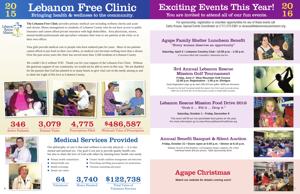We couldn't do it without YOU. Thank you for your support of the Lebanon Free Clinic. Without the generous support of our community, we would not be able to serve in this way. We are thankful for the passion that God has planted in so many hearts to give vital care to the needy among us and to shine the Light of His love to Lebanon County.





Your gifts provide medical care to people who have endured pain for years. Most of our patients cannot afford to put food on their own tables, so medical care becomes nothing more than a dream. Over the past seven years the clinic has served more than 3,500 residents in Lebanon County.

Active Patients Patient Visits Prescriptions Filled Wholesale Value of Prescriptions 346 3,079 4,775 \$486,587



## Lebanon Free Clinic Bringing health & wellness to the community.

Lebanon Mission

> **Saturday, April 2 • Lebanon Country Club • 12:00 p.m. - 1:30 p.m.** A luncheon filled with inspiration, fellowship and fun.

20

**The Lebanon Free Clinic** provides primary medical care including wellness checks and acute and chronic illness management to residents of Lebanon County who do not have access to public insurance and cannot afford private insurance with high deductibles. Area physicians, nurses, mental-health professionals and specialists volunteer their time to see patients at the clinic or in their own offices.

> This event will fill our non-perishable food pantry for the year. For more information go to www.RescueMissionFoodDrive.org

## Annual Benefit Banquet & Silent Auction



- **Chronic health condition management and education**
- $\blacksquare$  Prescribing and filling prescriptions for medications
- Christian counseling and prayer

Hours Donated

3,740

- **Primary health consultations**
- Mental health care
- **Health screenings**
- **Dental care clinics**

## Medical Services Provided

Proceeds from the Golf Tournament benefit the Lebanon Free Clinic's work to provide primary health care to all those who do not have access to public or private health insurance.

Our philosophy of care is that total wellness is not only physical — it is also mental and spiritual too. Our goal is not just to provide quality health care, but also to share the love of God with others by meeting basic health care needs.

## Exciting Events This Year! You are invited to attend all of our fun events.











## Agape Christmas

## Lebanon Rescue Mission Food Drive 2016

"Grab it … Fill it … Drop it."

#### **Saturday, October 1 - Friday, December 9**

"Every woman deserves an opportunity"

**Friday, October 21 • Doors open at 5:00 p.m. • Dinner at 6:15 p.m.**

Midway Church of the Brethren, 13 Evergreen Road, Lebanon, PA 17042 Individual tickets \$30 per person. Table Sponsorship \$240







**Friday, June 3 • Blue Mountain Golf Course 12:00 p.m. Registration - 1:00 p.m. Shotgun**

## 3rd Annual Lebanon Rescue Mission Golf Tournament

Early Registration (sign up by April 24th) \$70 per golfer / \$280 per foursome**.**

For sponsorship, registration or volunteer opportunities for any of these events call Cathy Krause, Special Events Coordinator at (717) 273-2301 or ckrause@lebanonrescuemission.org

## Agape Family Shelter Luncheon Benefit

**Watch our website for details coming soon!**